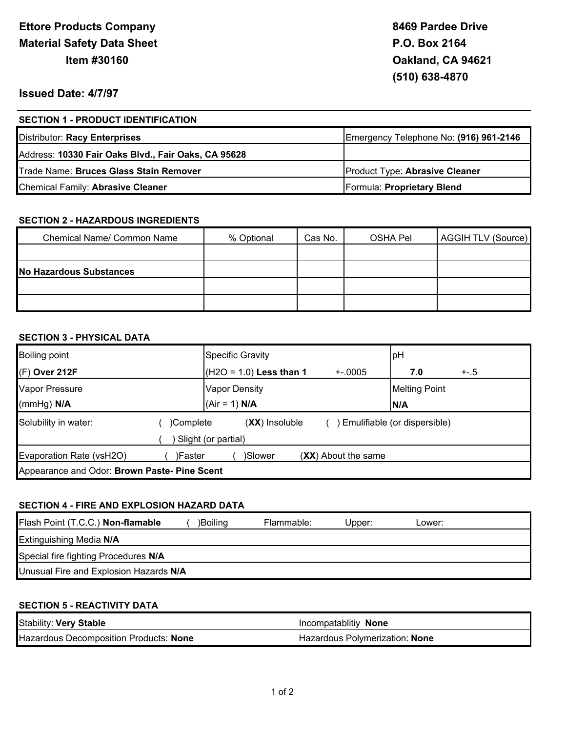# **Issued Date: 4/7/97**

| <b>SECTION 1 - PRODUCT IDENTIFICATION</b>           |                                        |
|-----------------------------------------------------|----------------------------------------|
| Distributor: Racy Enterprises                       | Emergency Telephone No: (916) 961-2146 |
| Address: 10330 Fair Oaks Blvd., Fair Oaks, CA 95628 |                                        |
| Trade Name: Bruces Glass Stain Remover              | <b>Product Type: Abrasive Cleaner</b>  |
| Chemical Family: Abrasive Cleaner                   | Formula: Proprietary Blend             |

## **SECTION 2 - HAZARDOUS INGREDIENTS**

| Chemical Name/ Common Name | % Optional | Cas No. | <b>OSHA Pel</b> | AGGIH TLV (Source) |
|----------------------------|------------|---------|-----------------|--------------------|
|                            |            |         |                 |                    |
| No Hazardous Substances    |            |         |                 |                    |
|                            |            |         |                 |                    |
|                            |            |         |                 |                    |

## **SECTION 3 - PHYSICAL DATA**

| <b>Boiling point</b>                         |                                                                                        | <b>Specific Gravity</b>                 |                     | pH                          |        |
|----------------------------------------------|----------------------------------------------------------------------------------------|-----------------------------------------|---------------------|-----------------------------|--------|
| (F) Over 212F                                |                                                                                        | $(H2O = 1.0)$ Less than 1               | $+.0005$            | 7.0                         | $+-.5$ |
| Vapor Pressure<br>(mmHg) N/A                 |                                                                                        | <b>Vapor Density</b><br>$(Air = 1) N/A$ |                     | <b>Melting Point</b><br>N/A |        |
| Solubility in water:                         | ) Emulifiable (or dispersible)<br>$(XX)$ Insoluble<br>)Complete<br>Slight (or partial) |                                         |                     |                             |        |
| Evaporation Rate (vsH2O)                     | )Faster                                                                                | )Slower                                 | (XX) About the same |                             |        |
| Appearance and Odor: Brown Paste- Pine Scent |                                                                                        |                                         |                     |                             |        |

## **SECTION 4 - FIRE AND EXPLOSION HAZARD DATA**

| Flash Point (T.C.C.) Non-flamable      | )Boilina | Flammable: | Jpper: | Lower: |  |
|----------------------------------------|----------|------------|--------|--------|--|
| <b>Extinguishing Media N/A</b>         |          |            |        |        |  |
| Special fire fighting Procedures N/A   |          |            |        |        |  |
| Unusual Fire and Explosion Hazards N/A |          |            |        |        |  |

## **SECTION 5 - REACTIVITY DATA**

| <b>Stability: Very Stable</b>          | Incompatablitiv None           |
|----------------------------------------|--------------------------------|
| Hazardous Decomposition Products: None | Hazardous Polymerization: None |